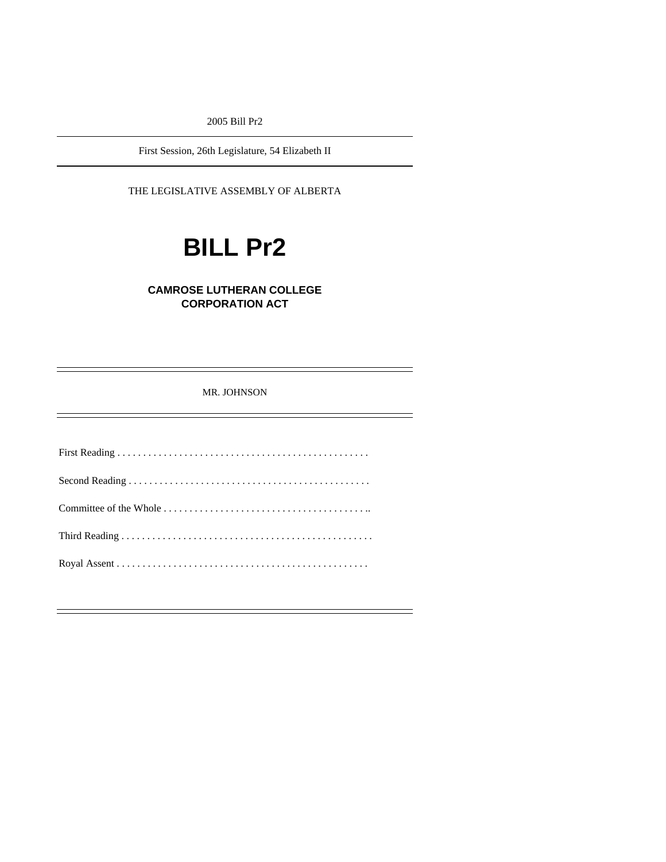2005 Bill Pr2

First Session, 26th Legislature, 54 Elizabeth II

THE LEGISLATIVE ASSEMBLY OF ALBERTA

# **BILL Pr2**

# **CAMROSE LUTHERAN COLLEGE CORPORATION ACT**

MR. JOHNSON

First Reading . . . . . . . . . . . . . . . . . . . . . . . . . . . . . . . . . . . . . . . . . . . . . . . . . Second Reading . . . . . . . . . . . . . . . . . . . . . . . . . . . . . . . . . . . . . . . . . . . . . . . Committee of the Whole . . . . . . . . . . . . . . . . . . . . . . . . . . . . . . . . . . . . . . . .. Third Reading . . . . . . . . . . . . . . . . . . . . . . . . . . . . . . . . . . . . . . . . . . . . . . . . . Royal Assent . . . . . . . . . . . . . . . . . . . . . . . . . . . . . . . . . . . . . . . . . . . . . . . . .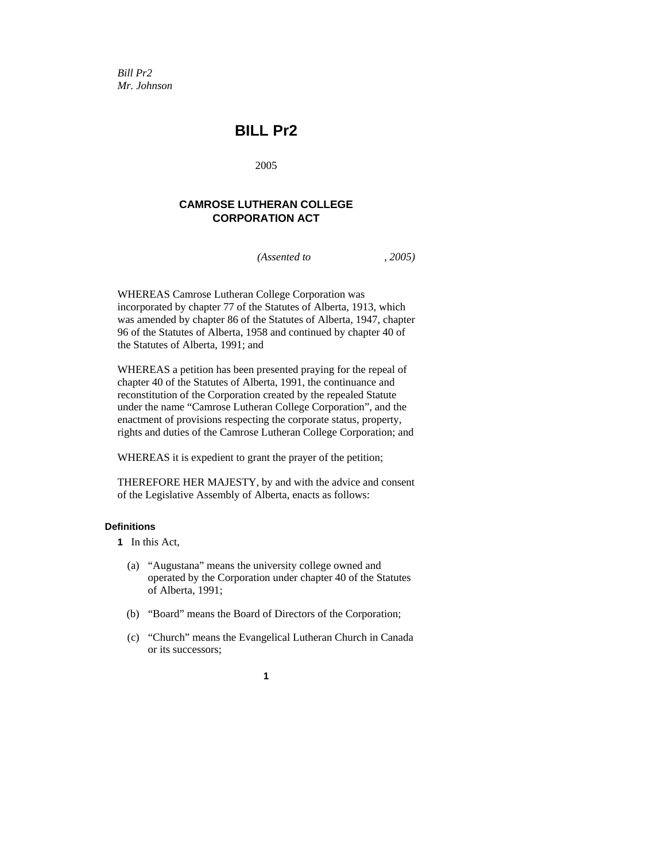*Bill Pr2 Mr. Johnson* 

# **BILL Pr2**

2005

# **CAMROSE LUTHERAN COLLEGE CORPORATION ACT**

*(Assented to , 2005)* 

WHEREAS Camrose Lutheran College Corporation was incorporated by chapter 77 of the Statutes of Alberta, 1913, which was amended by chapter 86 of the Statutes of Alberta, 1947, chapter 96 of the Statutes of Alberta, 1958 and continued by chapter 40 of the Statutes of Alberta, 1991; and

WHEREAS a petition has been presented praying for the repeal of chapter 40 of the Statutes of Alberta, 1991, the continuance and reconstitution of the Corporation created by the repealed Statute under the name "Camrose Lutheran College Corporation", and the enactment of provisions respecting the corporate status, property, rights and duties of the Camrose Lutheran College Corporation; and

WHEREAS it is expedient to grant the prayer of the petition;

THEREFORE HER MAJESTY, by and with the advice and consent of the Legislative Assembly of Alberta, enacts as follows:

#### **Definitions**

- **1** In this Act,
	- (a) "Augustana" means the university college owned and operated by the Corporation under chapter 40 of the Statutes of Alberta, 1991;
	- (b) "Board" means the Board of Directors of the Corporation;
	- (c) "Church" means the Evangelical Lutheran Church in Canada or its successors;

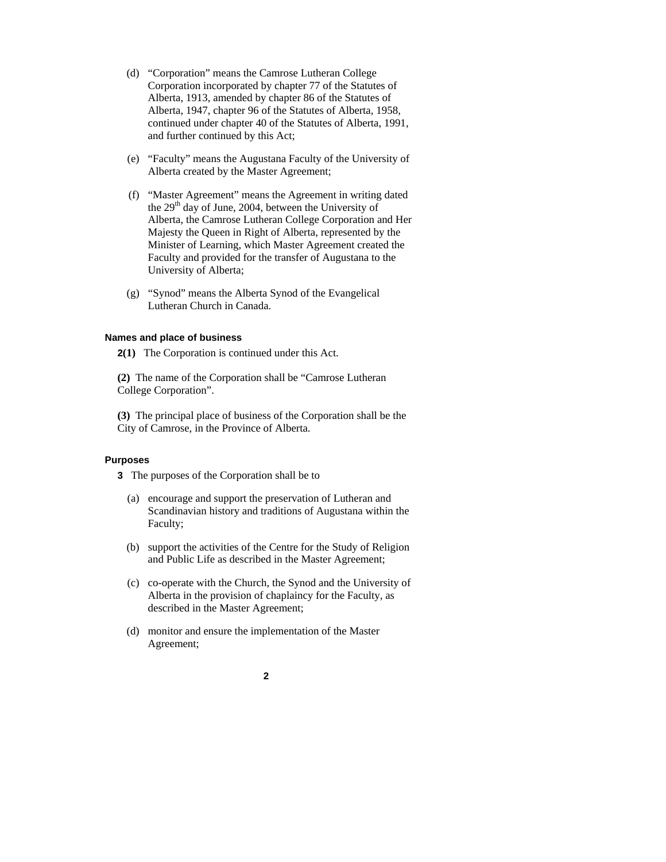- (d) "Corporation" means the Camrose Lutheran College Corporation incorporated by chapter 77 of the Statutes of Alberta, 1913, amended by chapter 86 of the Statutes of Alberta, 1947, chapter 96 of the Statutes of Alberta, 1958, continued under chapter 40 of the Statutes of Alberta, 1991, and further continued by this Act;
- (e) "Faculty" means the Augustana Faculty of the University of Alberta created by the Master Agreement;
- (f) "Master Agreement" means the Agreement in writing dated the 29<sup>th</sup> day of June, 2004, between the University of Alberta, the Camrose Lutheran College Corporation and Her Majesty the Queen in Right of Alberta, represented by the Minister of Learning, which Master Agreement created the Faculty and provided for the transfer of Augustana to the University of Alberta;
- (g) "Synod" means the Alberta Synod of the Evangelical Lutheran Church in Canada.

#### **Names and place of business**

**2(1)** The Corporation is continued under this Act.

**(2)** The name of the Corporation shall be "Camrose Lutheran College Corporation".

**(3)** The principal place of business of the Corporation shall be the City of Camrose, in the Province of Alberta.

#### **Purposes**

**3** The purposes of the Corporation shall be to

- (a) encourage and support the preservation of Lutheran and Scandinavian history and traditions of Augustana within the Faculty;
- (b) support the activities of the Centre for the Study of Religion and Public Life as described in the Master Agreement;
- (c) co-operate with the Church, the Synod and the University of Alberta in the provision of chaplaincy for the Faculty, as described in the Master Agreement;
- (d) monitor and ensure the implementation of the Master Agreement;

#### **2**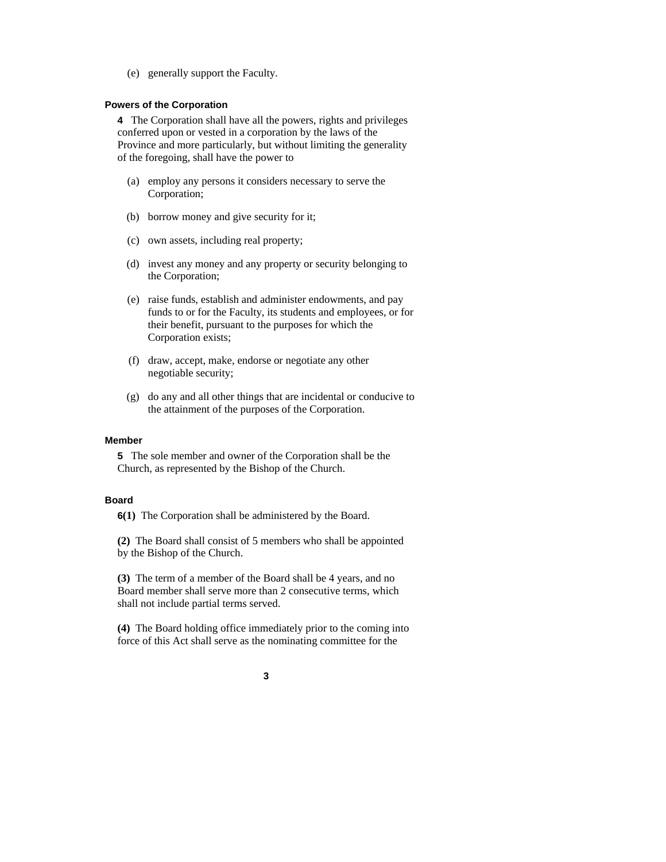(e) generally support the Faculty.

#### **Powers of the Corporation**

**4** The Corporation shall have all the powers, rights and privileges conferred upon or vested in a corporation by the laws of the Province and more particularly, but without limiting the generality of the foregoing, shall have the power to

- (a) employ any persons it considers necessary to serve the Corporation;
- (b) borrow money and give security for it;
- (c) own assets, including real property;
- (d) invest any money and any property or security belonging to the Corporation;
- (e) raise funds, establish and administer endowments, and pay funds to or for the Faculty, its students and employees, or for their benefit, pursuant to the purposes for which the Corporation exists;
- (f) draw, accept, make, endorse or negotiate any other negotiable security;
- (g) do any and all other things that are incidental or conducive to the attainment of the purposes of the Corporation.

#### **Member**

**5** The sole member and owner of the Corporation shall be the Church, as represented by the Bishop of the Church.

#### **Board**

**6(1)** The Corporation shall be administered by the Board.

**(2)** The Board shall consist of 5 members who shall be appointed by the Bishop of the Church.

**(3)** The term of a member of the Board shall be 4 years, and no Board member shall serve more than 2 consecutive terms, which shall not include partial terms served.

**(4)** The Board holding office immediately prior to the coming into force of this Act shall serve as the nominating committee for the

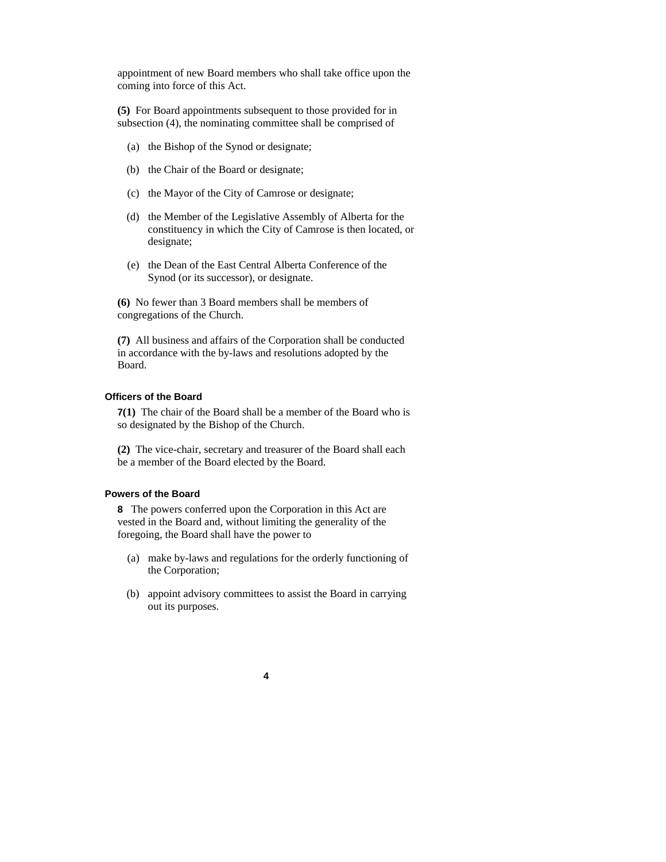appointment of new Board members who shall take office upon the coming into force of this Act.

**(5)** For Board appointments subsequent to those provided for in subsection (4), the nominating committee shall be comprised of

- (a) the Bishop of the Synod or designate;
- (b) the Chair of the Board or designate;
- (c) the Mayor of the City of Camrose or designate;
- (d) the Member of the Legislative Assembly of Alberta for the constituency in which the City of Camrose is then located, or designate;
- (e) the Dean of the East Central Alberta Conference of the Synod (or its successor), or designate.

**(6)** No fewer than 3 Board members shall be members of congregations of the Church.

**(7)** All business and affairs of the Corporation shall be conducted in accordance with the by-laws and resolutions adopted by the Board.

#### **Officers of the Board**

**7(1)** The chair of the Board shall be a member of the Board who is so designated by the Bishop of the Church.

**(2)** The vice-chair, secretary and treasurer of the Board shall each be a member of the Board elected by the Board.

### **Powers of the Board**

**8** The powers conferred upon the Corporation in this Act are vested in the Board and, without limiting the generality of the foregoing, the Board shall have the power to

- (a) make by-laws and regulations for the orderly functioning of the Corporation;
- (b) appoint advisory committees to assist the Board in carrying out its purposes.
	- **4**